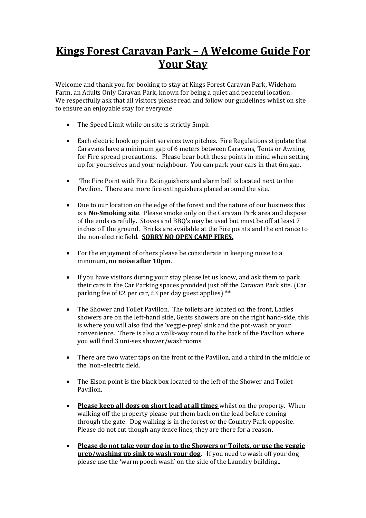## **Kings Forest Caravan Park – A Welcome Guide For Your Stay**

Welcome and thank you for booking to stay at Kings Forest Caravan Park, Wideham Farm, an Adults Only Caravan Park, known for being a quiet and peaceful location. We respectfully ask that all visitors please read and follow our guidelines whilst on site to ensure an enjoyable stay for everyone.

- The Speed Limit while on site is strictly 5mph
- Each electric hook up point services two pitches. Fire Regulations stipulate that Caravans have a minimum gap of 6 meters between Caravans, Tents or Awning for Fire spread precautions. Please bear both these points in mind when setting up for yourselves and your neighbour. You can park your cars in that 6m gap.
- The Fire Point with Fire Extinguishers and alarm bell is located next to the Pavilion. There are more fire extinguishers placed around the site.
- Due to our location on the edge of the forest and the nature of our business this is a **No-Smoking site**. Please smoke only on the Caravan Park area and dispose of the ends carefully. Stoves and BBQ's may be used but must be off at least 7 inches off the ground. Bricks are available at the Fire points and the entrance to the non-electric field. **SORRY NO OPEN CAMP FIRES.**
- For the enjoyment of others please be considerate in keeping noise to a minimum, **no noise after 10pm**.
- If you have visitors during your stay please let us know, and ask them to park their cars in the Car Parking spaces provided just off the Caravan Park site. (Car parking fee of £2 per car, £3 per day guest applies) \*\*
- The Shower and Toilet Pavilion. The toilets are located on the front, Ladies showers are on the left-hand side, Gents showers are on the right hand-side, this is where you will also find the 'veggie-prep' sink and the pot-wash or your convenience. There is also a walk-way round to the back of the Pavilion where you will find 3 uni-sex shower/washrooms.
- There are two water taps on the front of the Pavilion, and a third in the middle of the 'non-electric field.
- The Elson point is the black box located to the left of the Shower and Toilet Pavilion.
- **Please keep all dogs on short lead at all times** whilst on the property. When walking off the property please put them back on the lead before coming through the gate. Dog walking is in the forest or the Country Park opposite. Please do not cut though any fence lines, they are there for a reason.
- **Please do not take your dog in to the Showers or Toilets, or use the veggie prep/washing up sink to wash your dog.** If you need to wash off your dog please use the 'warm pooch wash' on the side of the Laundry building..